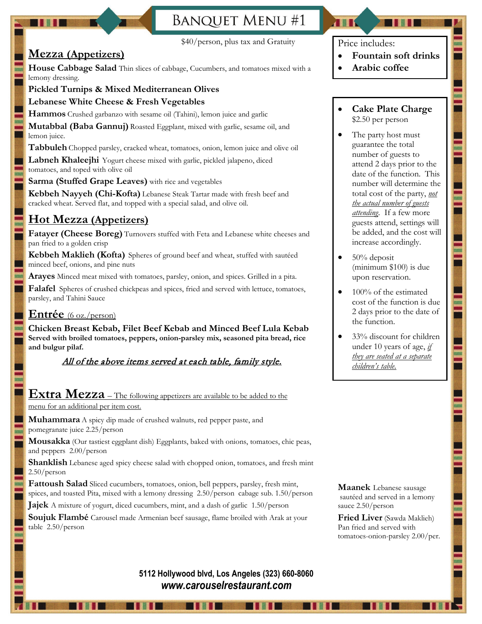# **BANQUET MENU#1**



#### \$40/person, plus tax and Gratuity

## **Mezza (Appetizers)**

**House Cabbage Salad** Thin slices of cabbage, Cucumbers, and tomatoes mixed with a lemony dressing.

#### **Pickled Turnips & Mixed Mediterranean Olives**

#### **Lebanese White Cheese & Fresh Vegetables**

**Hammos** Crushed garbanzo with sesame oil (Tahini), lemon juice and garlic

**Mutabbal (Baba Gannuj)** Roasted Eggplant, mixed with garlic, sesame oil, and lemon juice.

**Tabbuleh** Chopped parsley, cracked wheat, tomatoes, onion, lemon juice and olive oil

Labneh Khaleejhi Yogurt cheese mixed with garlic, pickled jalapeno, diced tomatoes, and toped with olive oil

**Sarma (Stuffed Grape Leaves)** with rice and vegetables

**Kebbeh Nayyeh (Chi-Kofta)** Lebanese Steak Tartar made with fresh beef and cracked wheat. Served flat, and topped with a special salad, and olive oil.

## **Hot Mezza (Appetizers)**

**Fatayer (Cheese Boreg)** Turnovers stuffed with Feta and Lebanese white cheeses and pan fried to a golden crisp

**Kebbeh Maklieh (Kofta)** Spheres of ground beef and wheat, stuffed with sautéed minced beef, onions, and pine nuts

**Arayes** Minced meat mixed with tomatoes, parsley, onion, and spices. Grilled in a pita.

**Falafel** Spheres of crushed chickpeas and spices, fried and served with lettuce, tomatoes, parsley, and Tahini Sauce

### **Entrée** (6 oz./person)

**Chicken Breast Kebab, Filet Beef Kebab and Minced Beef Lula Kebab Served with broiled tomatoes, peppers, onion-parsley mix, seasoned pita bread, rice and bulgur pilaf.**

### All of the above items served at each table, family style.

# **Extra Mezza** – The following appetizers are available to be added to the

menu for an additional per item cost.

**Muhammara** A spicy dip made of crushed walnuts, red pepper paste, and pomegranate juice 2.25/person

**Mousakka** (Our tastiest eggplant dish) Eggplants, baked with onions, tomatoes, chic peas, and peppers 2.00/person

**Shanklish** Lebanese aged spicy cheese salad with chopped onion, tomatoes, and fresh mint 2.50/person

**Fattoush Salad** Sliced cucumbers, tomatoes, onion, bell peppers, parsley, fresh mint, spices, and toasted Pita, mixed with a lemony dressing 2.50/person cabage sub. 1.50/person

**Jajek** A mixture of yogurt, diced cucumbers, mint, and a dash of garlic 1.50/person

**Soujuk Flambé** Carousel made Armenian beef sausage, flame broiled with Arak at your table 2.50/person

### Price includes:

- **Fountain soft drinks**
- **Arabic coffee**

#### • **Cake Plate Charge**  \$2.50 per person

- The party host must guarantee the total number of guests to attend 2 days prior to the date of the function. This number will determine the total cost of the party, *not the actual number of guests attending*. If a few more guests attend, settings will be added, and the cost will increase accordingly.
- 50% deposit (minimum \$100) is due upon reservation.
- 100% of the estimated cost of the function is due 2 days prior to the date of the function.
- 33% discount for children under 10 years of age, *if they are seated at a separate children's table.*

**Maanek** Lebanese sausage sautéed and served in a lemony sauce 2.50/person

**Fried Liver** (Sawda Maklieh) Pan fried and served with tomatoes-onion-parsley 2.00/per.

### **5112 Hollywood blvd, Los Angeles (323) 660-8060**  *www.carouselrestaurant.com*